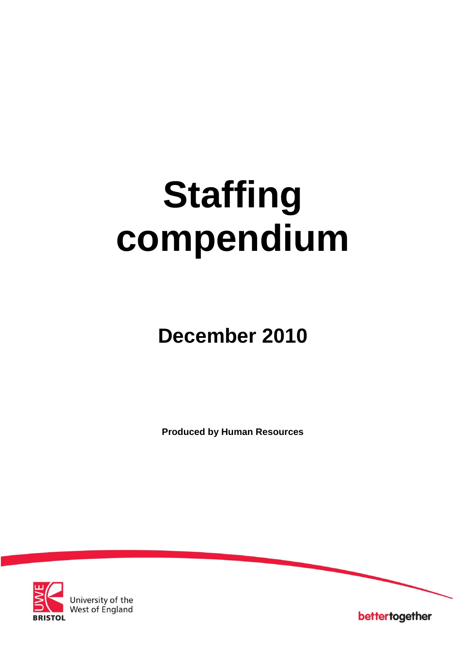# **Staffing compendium**

# **December 2010**

**Produced by Human Resources**



University of the<br>West of England

bettertogether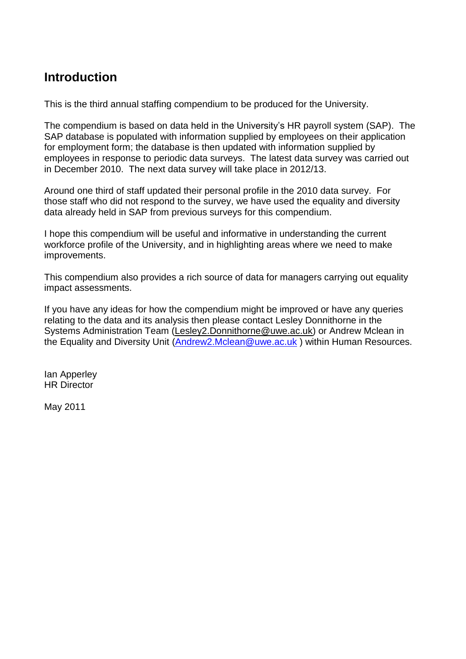# **Introduction**

This is the third annual staffing compendium to be produced for the University.

The compendium is based on data held in the University's HR payroll system (SAP). The SAP database is populated with information supplied by employees on their application for employment form; the database is then updated with information supplied by employees in response to periodic data surveys. The latest data survey was carried out in December 2010. The next data survey will take place in 2012/13.

Around one third of staff updated their personal profile in the 2010 data survey. For those staff who did not respond to the survey, we have used the equality and diversity data already held in SAP from previous surveys for this compendium.

I hope this compendium will be useful and informative in understanding the current workforce profile of the University, and in highlighting areas where we need to make improvements.

This compendium also provides a rich source of data for managers carrying out equality impact assessments.

If you have any ideas for how the compendium might be improved or have any queries relating to the data and its analysis then please contact Lesley Donnithorne in the Systems Administration Team [\(Lesley2.Donnithorne@uwe.ac.uk\)](mailto:Lesley2.Donnithorne@uwe.ac.uk) or Andrew Mclean in the Equality and Diversity Unit [\(Andrew2.Mclean@uwe.ac.uk](mailto:Andrew2.Mclean@uwe.ac.uk) ) within Human Resources.

Ian Apperley HR Director

May 2011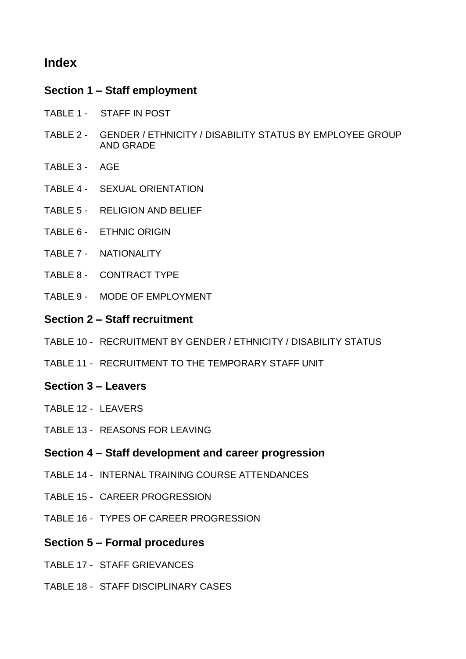# **Index**

#### **Section 1 – Staff employment**

- TABLE 1 STAFF IN POST
- TABLE 2 GENDER / ETHNICITY / DISABILITY STATUS BY EMPLOYEE GROUP AND GRADE
- TABLE 3 AGE
- TABLE 4 SEXUAL ORIENTATION
- TABLE 5 RELIGION AND BELIEF
- TABLE 6 ETHNIC ORIGIN
- TABLE 7 NATIONALITY
- TABLE 8 CONTRACT TYPE
- TABLE 9 MODE OF EMPLOYMENT

#### **Section 2 – Staff recruitment**

- TABLE 10 RECRUITMENT BY GENDER / ETHNICITY / DISABILITY STATUS
- TABLE 11 RECRUITMENT TO THE TEMPORARY STAFF UNIT

#### **Section 3 – Leavers**

- TABLE 12 LEAVERS
- TABLE 13 REASONS FOR LEAVING

#### **Section 4 – Staff development and career progression**

- TABLE 14 INTERNAL TRAINING COURSE ATTENDANCES
- TABLE 15 CAREER PROGRESSION
- TABLE 16 TYPES OF CAREER PROGRESSION

#### **Section 5 – Formal procedures**

- TABLE 17 STAFF GRIEVANCES
- TABLE 18 STAFF DISCIPLINARY CASES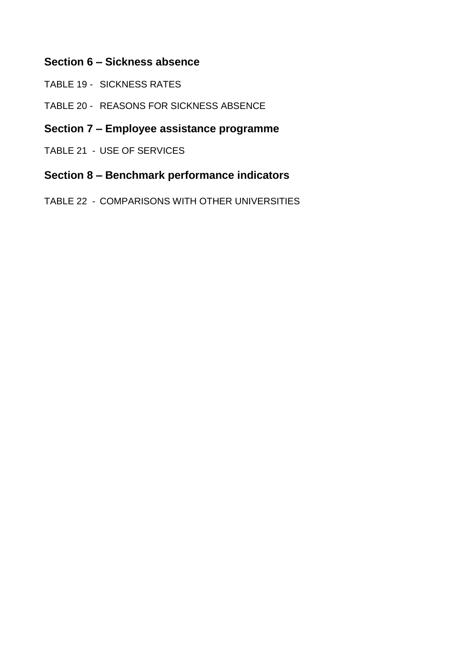## **Section 6 – Sickness absence**

- TABLE 19 SICKNESS RATES
- TABLE 20 REASONS FOR SICKNESS ABSENCE

# **Section 7 – Employee assistance programme**

TABLE 21 - USE OF SERVICES

#### **Section 8 – Benchmark performance indicators**

TABLE 22 - COMPARISONS WITH OTHER UNIVERSITIES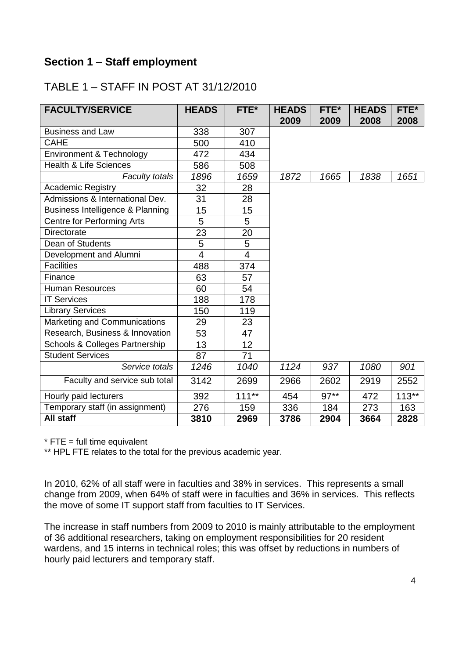## **Section 1 – Staff employment**

# TABLE 1 – STAFF IN POST AT 31/12/2010

| <b>FACULTY/SERVICE</b>            | <b>HEADS</b> | FTE*           | <b>HEADS</b><br>2009 | FTE*<br>2009 | <b>HEADS</b><br>2008 | FTE*<br>2008 |
|-----------------------------------|--------------|----------------|----------------------|--------------|----------------------|--------------|
| <b>Business and Law</b>           | 338          | 307            |                      |              |                      |              |
| <b>CAHE</b>                       | 500          | 410            |                      |              |                      |              |
| Environment & Technology          | 472          | 434            |                      |              |                      |              |
| <b>Health &amp; Life Sciences</b> | 586          | 508            |                      |              |                      |              |
| <b>Faculty totals</b>             | 1896         | 1659           | 1872                 | 1665         | 1838                 | 1651         |
| <b>Academic Registry</b>          | 32           | 28             |                      |              |                      |              |
| Admissions & International Dev.   | 31           | 28             |                      |              |                      |              |
| Business Intelligence & Planning  | 15           | 15             |                      |              |                      |              |
| <b>Centre for Performing Arts</b> | 5            | 5              |                      |              |                      |              |
| <b>Directorate</b>                | 23           | 20             |                      |              |                      |              |
| Dean of Students                  | 5            | 5              |                      |              |                      |              |
| Development and Alumni            | 4            | $\overline{4}$ |                      |              |                      |              |
| <b>Facilities</b>                 | 488          | 374            |                      |              |                      |              |
| Finance                           | 63           | 57             |                      |              |                      |              |
| <b>Human Resources</b>            | 60           | 54             |                      |              |                      |              |
| <b>IT Services</b>                | 188          | 178            |                      |              |                      |              |
| <b>Library Services</b>           | 150          | 119            |                      |              |                      |              |
| Marketing and Communications      | 29           | 23             |                      |              |                      |              |
| Research, Business & Innovation   | 53           | 47             |                      |              |                      |              |
| Schools & Colleges Partnership    | 13           | 12             |                      |              |                      |              |
| <b>Student Services</b>           | 87           | 71             |                      |              |                      |              |
| Service totals                    | 1246         | 1040           | 1124                 | 937          | 1080                 | 901          |
| Faculty and service sub total     | 3142         | 2699           | 2966                 | 2602         | 2919                 | 2552         |
| Hourly paid lecturers             | 392          | $111***$       | 454                  | $97**$       | 472                  | $113**$      |
| Temporary staff (in assignment)   | 276          | 159            | 336                  | 184          | 273                  | 163          |
| All staff                         | 3810         | 2969           | 3786                 | 2904         | 3664                 | 2828         |

 $*$  FTE = full time equivalent

\*\* HPL FTE relates to the total for the previous academic year.

In 2010, 62% of all staff were in faculties and 38% in services. This represents a small change from 2009, when 64% of staff were in faculties and 36% in services. This reflects the move of some IT support staff from faculties to IT Services.

The increase in staff numbers from 2009 to 2010 is mainly attributable to the employment of 36 additional researchers, taking on employment responsibilities for 20 resident wardens, and 15 interns in technical roles; this was offset by reductions in numbers of hourly paid lecturers and temporary staff.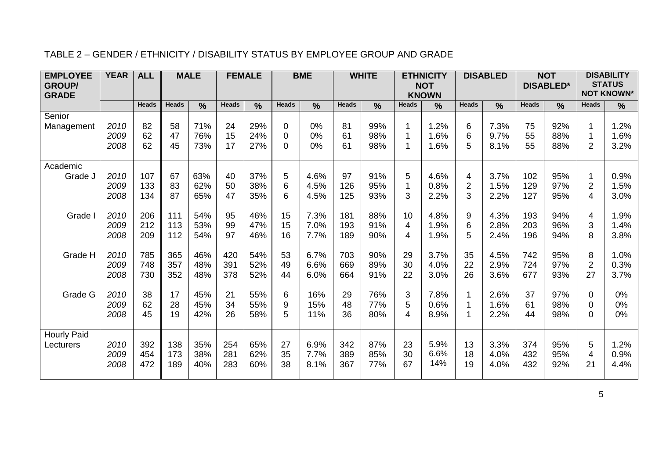|  | TABLE 2 - GENDER / ETHNICITY / DISABILITY STATUS BY EMPLOYEE GROUP AND GRADE |  |  |
|--|------------------------------------------------------------------------------|--|--|
|--|------------------------------------------------------------------------------|--|--|

| <b>EMPLOYEE</b><br><b>GROUP/</b><br><b>GRADE</b> | <b>YEAR</b>          | <b>ALL</b>        |                   | <b>MALE</b>       |                   | <b>FEMALE</b>     |                           | <b>BME</b>           | <b>WHITE</b>      |                   | <b>ETHNICITY</b><br><b>NOT</b><br><b>KNOWN</b> |                      | <b>DISABLED</b>          |                      | <b>NOT</b><br><b>DISABLED*</b> |                   | <b>DISABILITY</b><br><b>STATUS</b><br><b>NOT KNOWN*</b> |                      |
|--------------------------------------------------|----------------------|-------------------|-------------------|-------------------|-------------------|-------------------|---------------------------|----------------------|-------------------|-------------------|------------------------------------------------|----------------------|--------------------------|----------------------|--------------------------------|-------------------|---------------------------------------------------------|----------------------|
|                                                  |                      | <b>Heads</b>      | <b>Heads</b>      | $\frac{0}{0}$     | <b>Heads</b>      | $\frac{0}{0}$     | <b>Heads</b>              | $\frac{0}{0}$        | <b>Heads</b>      | $\frac{0}{0}$     | <b>Heads</b>                                   | $\frac{0}{0}$        | <b>Heads</b>             | $\frac{0}{0}$        | <b>Heads</b>                   | $\frac{0}{0}$     | <b>Heads</b>                                            | $\frac{9}{6}$        |
| Senior<br>Management                             | 2010<br>2009<br>2008 | 82<br>62<br>62    | 58<br>47<br>45    | 71%<br>76%<br>73% | 24<br>15<br>17    | 29%<br>24%<br>27% | 0<br>$\Omega$<br>$\Omega$ | 0%<br>0%<br>0%       | 81<br>61<br>61    | 99%<br>98%<br>98% | $\mathbf{1}$<br>$\mathbf{1}$<br>$\mathbf{1}$   | 1.2%<br>1.6%<br>1.6% | 6<br>6<br>5              | 7.3%<br>9.7%<br>8.1% | 75<br>55<br>55                 | 92%<br>88%<br>88% | 1<br>1<br>$\overline{2}$                                | 1.2%<br>1.6%<br>3.2% |
| Academic<br>Grade J                              | 2010<br>2009<br>2008 | 107<br>133<br>134 | 67<br>83<br>87    | 63%<br>62%<br>65% | 40<br>50<br>47    | 37%<br>38%<br>35% | 5<br>6<br>6               | 4.6%<br>4.5%<br>4.5% | 97<br>126<br>125  | 91%<br>95%<br>93% | 5<br>$\mathbf{1}$<br>3                         | 4.6%<br>0.8%<br>2.2% | 4<br>$\overline{2}$<br>3 | 3.7%<br>1.5%<br>2.2% | 102<br>129<br>127              | 95%<br>97%<br>95% | 1<br>$\overline{2}$<br>4                                | 0.9%<br>1.5%<br>3.0% |
| Grade I                                          | 2010<br>2009<br>2008 | 206<br>212<br>209 | 111<br>113<br>112 | 54%<br>53%<br>54% | 95<br>99<br>97    | 46%<br>47%<br>46% | 15<br>15<br>16            | 7.3%<br>7.0%<br>7.7% | 181<br>193<br>189 | 88%<br>91%<br>90% | 10<br>$\overline{4}$<br>$\overline{4}$         | 4.8%<br>1.9%<br>1.9% | 9<br>6<br>5              | 4.3%<br>2.8%<br>2.4% | 193<br>203<br>196              | 94%<br>96%<br>94% | 4<br>3<br>8                                             | 1.9%<br>1.4%<br>3.8% |
| Grade H                                          | 2010<br>2009<br>2008 | 785<br>748<br>730 | 365<br>357<br>352 | 46%<br>48%<br>48% | 420<br>391<br>378 | 54%<br>52%<br>52% | 53<br>49<br>44            | 6.7%<br>6.6%<br>6.0% | 703<br>669<br>664 | 90%<br>89%<br>91% | 29<br>30<br>22                                 | 3.7%<br>4.0%<br>3.0% | 35<br>22<br>26           | 4.5%<br>2.9%<br>3.6% | 742<br>724<br>677              | 95%<br>97%<br>93% | 8<br>$\overline{2}$<br>27                               | 1.0%<br>0.3%<br>3.7% |
| Grade G                                          | 2010<br>2009<br>2008 | 38<br>62<br>45    | 17<br>28<br>19    | 45%<br>45%<br>42% | 21<br>34<br>26    | 55%<br>55%<br>58% | 6<br>9<br>5               | 16%<br>15%<br>11%    | 29<br>48<br>36    | 76%<br>77%<br>80% | 3<br>5<br>$\overline{4}$                       | 7.8%<br>0.6%<br>8.9% | 1<br>1<br>1              | 2.6%<br>1.6%<br>2.2% | 37<br>61<br>44                 | 97%<br>98%<br>98% | 0<br>0<br>0                                             | 0%<br>0%<br>$0\%$    |
| <b>Hourly Paid</b><br>Lecturers                  | 2010<br>2009<br>2008 | 392<br>454<br>472 | 138<br>173<br>189 | 35%<br>38%<br>40% | 254<br>281<br>283 | 65%<br>62%<br>60% | 27<br>35<br>38            | 6.9%<br>7.7%<br>8.1% | 342<br>389<br>367 | 87%<br>85%<br>77% | 23<br>30<br>67                                 | 5.9%<br>6.6%<br>14%  | 13<br>18<br>19           | 3.3%<br>4.0%<br>4.0% | 374<br>432<br>432              | 95%<br>95%<br>92% | 5<br>4<br>21                                            | 1.2%<br>0.9%<br>4.4% |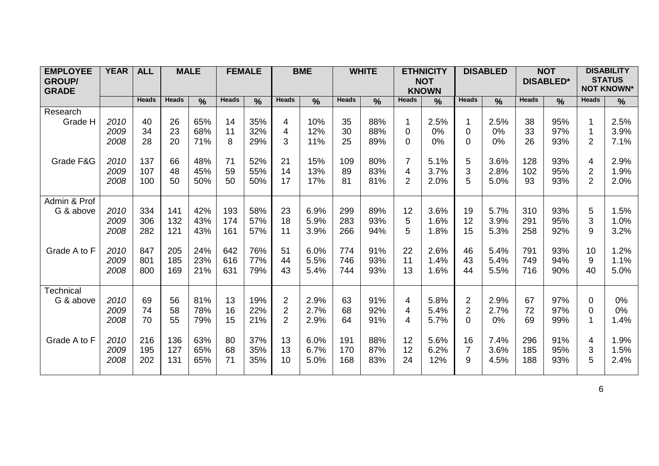| <b>EMPLOYEE</b>  | <b>YEAR</b> | <b>ALL</b>   |              | <b>MALE</b>   | <b>FEMALE</b> |               |                | <b>BME</b>    |              | <b>WHITE</b> |       | <b>ETHNICITY</b>           |                | <b>DISABLED</b> |              | <b>NOT</b>       |                | <b>DISABILITY</b>                  |
|------------------|-------------|--------------|--------------|---------------|---------------|---------------|----------------|---------------|--------------|--------------|-------|----------------------------|----------------|-----------------|--------------|------------------|----------------|------------------------------------|
| <b>GROUP/</b>    |             |              |              |               |               |               |                |               |              |              |       | <b>NOT</b><br><b>KNOWN</b> |                |                 |              | <b>DISABLED*</b> |                | <b>STATUS</b><br><b>NOT KNOWN*</b> |
| <b>GRADE</b>     |             | <b>Heads</b> | <b>Heads</b> | $\frac{0}{0}$ | <b>Heads</b>  | $\frac{9}{6}$ | <b>Heads</b>   | $\frac{0}{0}$ | <b>Heads</b> | %            | Heads | %                          | <b>Heads</b>   | $\frac{0}{0}$   | <b>Heads</b> | $\frac{0}{0}$    | <b>Heads</b>   | $\frac{9}{6}$                      |
| Research         |             |              |              |               |               |               |                |               |              |              |       |                            |                |                 |              |                  |                |                                    |
| Grade H          | 2010        | 40           | 26           | 65%           | 14            | 35%           | 4              | 10%           | 35           | 88%          | 1     | 2.5%                       | 1              | 2.5%            | 38           | 95%              |                | 2.5%                               |
|                  | 2009        | 34           | 23           | 68%           | 11            | 32%           | 4              | 12%           | 30           | 88%          | 0     | 0%                         | 0              | 0%              | 33           | 97%              |                | 3.9%                               |
|                  | 2008        | 28           | 20           | 71%           | 8             | 29%           | 3              | 11%           | 25           | 89%          | 0     | 0%                         | 0              | 0%              | 26           | 93%              | $\overline{2}$ | 7.1%                               |
|                  |             |              |              |               |               |               |                |               |              |              |       |                            |                |                 |              |                  |                |                                    |
| Grade F&G        | 2010        | 137          | 66           | 48%           | 71            | 52%           | 21             | 15%           | 109          | 80%          | 7     | 5.1%                       | 5              | 3.6%            | 128          | 93%              | 4              | 2.9%                               |
|                  | 2009        | 107          | 48           | 45%           | 59            | 55%           | 14             | 13%           | 89           | 83%          | 4     | 3.7%                       | 3              | 2.8%            | 102          | 95%              | 2              | 1.9%                               |
|                  | 2008        | 100          | 50           | 50%           | 50            | 50%           | 17             | 17%           | 81           | 81%          | 2     | 2.0%                       | 5              | 5.0%            | 93           | 93%              | $\overline{2}$ | 2.0%                               |
|                  |             |              |              |               |               |               |                |               |              |              |       |                            |                |                 |              |                  |                |                                    |
| Admin & Prof     |             |              |              |               |               |               |                |               |              |              |       |                            |                |                 |              |                  |                |                                    |
| G & above        | 2010        | 334          | 141          | 42%           | 193           | 58%           | 23             | 6.9%          | 299          | 89%          | 12    | 3.6%                       | 19             | 5.7%            | 310          | 93%              | 5              | 1.5%                               |
|                  | 2009        | 306          | 132          | 43%           | 174           | 57%           | 18             | 5.9%          | 283          | 93%          | 5     | 1.6%                       | 12             | 3.9%            | 291          | 95%              | 3              | 1.0%                               |
|                  | 2008        | 282          | 121          | 43%           | 161           | 57%           | 11             | 3.9%          | 266          | 94%          | 5     | 1.8%                       | 15             | 5.3%            | 258          | 92%              | 9              | 3.2%                               |
|                  |             |              |              |               |               |               |                |               |              |              |       |                            |                |                 |              |                  |                |                                    |
| Grade A to F     | 2010        | 847          | 205          | 24%           | 642           | 76%           | 51             | 6.0%          | 774          | 91%          | 22    | 2.6%                       | 46             | 5.4%            | 791          | 93%              | 10             | 1.2%                               |
|                  | 2009        | 801          | 185          | 23%           | 616           | 77%           | 44             | 5.5%          | 746          | 93%          | 11    | 1.4%                       | 43             | 5.4%            | 749          | 94%              | 9              | 1.1%                               |
|                  | 2008        | 800          | 169          | 21%           | 631           | 79%           | 43             | 5.4%          | 744          | 93%          | 13    | 1.6%                       | 44             | 5.5%            | 716          | 90%              | 40             | 5.0%                               |
| <b>Technical</b> |             |              |              |               |               |               |                |               |              |              |       |                            |                |                 |              |                  |                |                                    |
| G & above        | 2010        | 69           | 56           | 81%           | 13            | 19%           | $\overline{2}$ | 2.9%          | 63           | 91%          | 4     | 5.8%                       | $\overline{2}$ | 2.9%            | 67           | 97%              | 0              | $0\%$                              |
|                  | 2009        | 74           | 58           | 78%           | 16            | 22%           | $\overline{2}$ | 2.7%          | 68           | 92%          | 4     | 5.4%                       | 2              | 2.7%            | 72           | 97%              | 0              | 0%                                 |
|                  | 2008        | 70           | 55           | 79%           | 15            | 21%           | $\overline{2}$ | 2.9%          | 64           | 91%          | 4     | 5.7%                       | $\Omega$       | 0%              | 69           | 99%              |                | 1.4%                               |
|                  |             |              |              |               |               |               |                |               |              |              |       |                            |                |                 |              |                  |                |                                    |
| Grade A to F     | 2010        | 216          | 136          | 63%           | 80            | 37%           | 13             | 6.0%          | 191          | 88%          | 12    | 5.6%                       | 16             | 7.4%            | 296          | 91%              | 4              | 1.9%                               |
|                  | 2009        | 195          | 127          | 65%           | 68            | 35%           | 13             | 6.7%          | 170          | 87%          | 12    | 6.2%                       | $\overline{7}$ | 3.6%            | 185          | 95%              | 3              | 1.5%                               |
|                  | 2008        | 202          | 131          | 65%           | 71            | 35%           | 10             | 5.0%          | 168          | 83%          | 24    | 12%                        | 9              | 4.5%            | 188          | 93%              | 5              | 2.4%                               |
|                  |             |              |              |               |               |               |                |               |              |              |       |                            |                |                 |              |                  |                |                                    |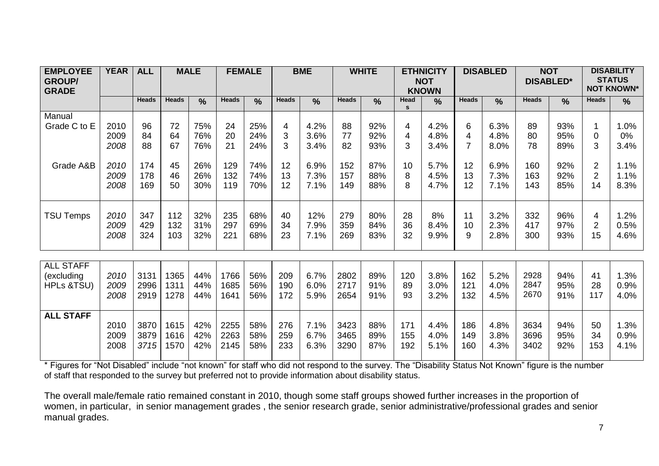| <b>EMPLOYEE</b><br><b>GROUP/</b><br><b>GRADE</b> | <b>YEAR</b>          | <b>ALL</b>           |                      | <b>MALE</b>       |                      | <b>FEMALE</b>     |                   | <b>BME</b>           |                      | <b>WHITE</b>      |                      | <b>ETHNICITY</b><br><b>NOT</b><br><b>KNOWN</b> |                   | <b>DISABLED</b>      |                      | <b>NOT</b><br><b>DISABLED*</b> |                                        | <b>DISABILITY</b><br><b>STATUS</b><br><b>NOT KNOWN*</b> |
|--------------------------------------------------|----------------------|----------------------|----------------------|-------------------|----------------------|-------------------|-------------------|----------------------|----------------------|-------------------|----------------------|------------------------------------------------|-------------------|----------------------|----------------------|--------------------------------|----------------------------------------|---------------------------------------------------------|
|                                                  |                      | <b>Heads</b>         | <b>Heads</b>         | $\frac{0}{0}$     | <b>Heads</b>         | $\frac{0}{0}$     | <b>Heads</b>      | $\frac{0}{0}$        | <b>Heads</b>         | $\frac{0}{0}$     | Head<br>$\mathbf{s}$ | $\frac{0}{0}$                                  | <b>Heads</b>      | $\frac{0}{0}$        | <b>Heads</b>         | $\frac{0}{0}$                  | <b>Heads</b>                           | $\frac{0}{0}$                                           |
| Manual<br>Grade C to E                           | 2010<br>2009<br>2008 | 96<br>84<br>88       | 72<br>64<br>67       | 75%<br>76%<br>76% | 24<br>20<br>21       | 25%<br>24%<br>24% | 4<br>3<br>3       | 4.2%<br>3.6%<br>3.4% | 88<br>77<br>82       | 92%<br>92%<br>93% | 4<br>4<br>3          | 4.2%<br>4.8%<br>3.4%                           | 6<br>4            | 6.3%<br>4.8%<br>8.0% | 89<br>80<br>78       | 93%<br>95%<br>89%              | 1<br>0<br>3                            | 1.0%<br>$0\%$<br>3.4%                                   |
| Grade A&B                                        | 2010<br>2009<br>2008 | 174<br>178<br>169    | 45<br>46<br>50       | 26%<br>26%<br>30% | 129<br>132<br>119    | 74%<br>74%<br>70% | 12<br>13<br>12    | 6.9%<br>7.3%<br>7.1% | 152<br>157<br>149    | 87%<br>88%<br>88% | 10<br>8<br>8         | 5.7%<br>4.5%<br>4.7%                           | 12<br>13<br>12    | 6.9%<br>7.3%<br>7.1% | 160<br>163<br>143    | 92%<br>92%<br>85%              | $\overline{2}$<br>$\overline{2}$<br>14 | 1.1%<br>1.1%<br>8.3%                                    |
| <b>TSU Temps</b>                                 | 2010<br>2009<br>2008 | 347<br>429<br>324    | 112<br>132<br>103    | 32%<br>31%<br>32% | 235<br>297<br>221    | 68%<br>69%<br>68% | 40<br>34<br>23    | 12%<br>7.9%<br>7.1%  | 279<br>359<br>269    | 80%<br>84%<br>83% | 28<br>36<br>32       | 8%<br>8.4%<br>9.9%                             | 11<br>10<br>9     | 3.2%<br>2.3%<br>2.8% | 332<br>417<br>300    | 96%<br>97%<br>93%              | 4<br>$\overline{2}$<br>15              | 1.2%<br>0.5%<br>4.6%                                    |
| <b>ALL STAFF</b><br>(excluding<br>HPLs &TSU)     | 2010<br>2009<br>2008 | 3131<br>2996<br>2919 | 1365<br>1311<br>1278 | 44%<br>44%<br>44% | 1766<br>1685<br>1641 | 56%<br>56%<br>56% | 209<br>190<br>172 | 6.7%<br>6.0%<br>5.9% | 2802<br>2717<br>2654 | 89%<br>91%<br>91% | 120<br>89<br>93      | 3.8%<br>3.0%<br>3.2%                           | 162<br>121<br>132 | 5.2%<br>4.0%<br>4.5% | 2928<br>2847<br>2670 | 94%<br>95%<br>91%              | 41<br>28<br>117                        | 1.3%<br>0.9%<br>4.0%                                    |
| <b>ALL STAFF</b>                                 | 2010<br>2009<br>2008 | 3870<br>3879<br>3715 | 1615<br>1616<br>1570 | 42%<br>42%<br>42% | 2255<br>2263<br>2145 | 58%<br>58%<br>58% | 276<br>259<br>233 | 7.1%<br>6.7%<br>6.3% | 3423<br>3465<br>3290 | 88%<br>89%<br>87% | 171<br>155<br>192    | 4.4%<br>4.0%<br>5.1%                           | 186<br>149<br>160 | 4.8%<br>3.8%<br>4.3% | 3634<br>3696<br>3402 | 94%<br>95%<br>92%              | 50<br>34<br>153                        | 1.3%<br>0.9%<br>4.1%                                    |

\* Figures for "Not Disabled" include "not known" for staff who did not respond to the survey. The "Disability Status Not Known" figure is the number of staff that responded to the survey but preferred not to provide information about disability status.

The overall male/female ratio remained constant in 2010, though some staff groups showed further increases in the proportion of women, in particular, in senior management grades , the senior research grade, senior administrative/professional grades and senior manual grades.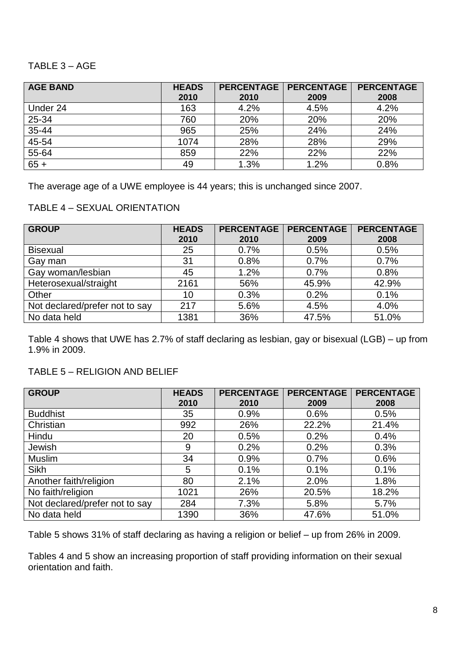#### TABLE 3 – AGE

| <b>AGE BAND</b> | <b>HEADS</b> | <b>PERCENTAGE</b> | <b>PERCENTAGE</b> | <b>PERCENTAGE</b> |
|-----------------|--------------|-------------------|-------------------|-------------------|
|                 | 2010         | 2010              | 2009              | 2008              |
| Under 24        | 163          | 4.2%              | 4.5%              | 4.2%              |
| 25-34           | 760          | 20%               | 20%               | 20%               |
| 35-44           | 965          | 25%               | 24%               | 24%               |
| 45-54           | 1074         | 28%               | 28%               | 29%               |
| 55-64           | 859          | 22%               | 22%               | 22%               |
| $65 +$          | 49           | 1.3%              | 1.2%              | 0.8%              |

The average age of a UWE employee is 44 years; this is unchanged since 2007.

#### TABLE 4 – SEXUAL ORIENTATION

| <b>GROUP</b>                   | <b>HEADS</b> | <b>PERCENTAGE</b> | <b>PERCENTAGE</b> | <b>PERCENTAGE</b> |
|--------------------------------|--------------|-------------------|-------------------|-------------------|
|                                | 2010         | 2010              | 2009              | 2008              |
| <b>Bisexual</b>                | 25           | 0.7%              | 0.5%              | 0.5%              |
| Gay man                        | 31           | 0.8%              | 0.7%              | 0.7%              |
| Gay woman/lesbian              | 45           | 1.2%              | 0.7%              | 0.8%              |
| Heterosexual/straight          | 2161         | 56%               | 45.9%             | 42.9%             |
| Other                          | 10           | 0.3%              | 0.2%              | 0.1%              |
| Not declared/prefer not to say | 217          | 5.6%              | 4.5%              | 4.0%              |
| No data held                   | 1381         | 36%               | 47.5%             | 51.0%             |

Table 4 shows that UWE has 2.7% of staff declaring as lesbian, gay or bisexual (LGB) – up from 1.9% in 2009.

#### TABLE 5 – RELIGION AND BELIEF

| <b>GROUP</b>                   | <b>HEADS</b> | <b>PERCENTAGE</b> | <b>PERCENTAGE</b> | <b>PERCENTAGE</b> |
|--------------------------------|--------------|-------------------|-------------------|-------------------|
|                                | 2010         | 2010              | 2009              | 2008              |
| <b>Buddhist</b>                | 35           | 0.9%              | 0.6%              | 0.5%              |
| Christian                      | 992          | 26%               | 22.2%             | 21.4%             |
| Hindu                          | 20           | 0.5%              | 0.2%              | 0.4%              |
| Jewish                         | 9            | 0.2%              | 0.2%              | 0.3%              |
| <b>Muslim</b>                  | 34           | 0.9%              | 0.7%              | 0.6%              |
| <b>Sikh</b>                    | 5            | 0.1%              | 0.1%              | 0.1%              |
| Another faith/religion         | 80           | 2.1%              | 2.0%              | 1.8%              |
| No faith/religion              | 1021         | 26%               | 20.5%             | 18.2%             |
| Not declared/prefer not to say | 284          | 7.3%              | 5.8%              | 5.7%              |
| No data held                   | 1390         | 36%               | 47.6%             | 51.0%             |

Table 5 shows 31% of staff declaring as having a religion or belief – up from 26% in 2009.

Tables 4 and 5 show an increasing proportion of staff providing information on their sexual orientation and faith.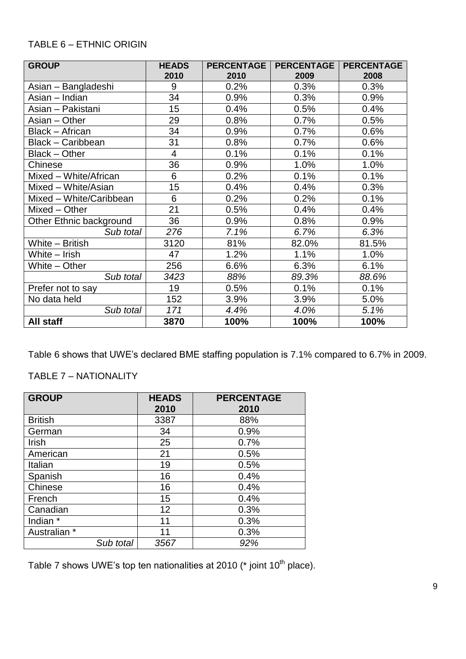#### TABLE 6 – ETHNIC ORIGIN

| <b>GROUP</b>             | <b>HEADS</b>   | <b>PERCENTAGE</b> | <b>PERCENTAGE</b> | <b>PERCENTAGE</b> |
|--------------------------|----------------|-------------------|-------------------|-------------------|
|                          | 2010           | 2010              | 2009              | 2008              |
| Asian - Bangladeshi      | 9              | 0.2%              | 0.3%              | 0.3%              |
| Asian - Indian           | 34             | 0.9%              | 0.3%              | 0.9%              |
| Asian - Pakistani        | 15             | 0.4%              | 0.5%              | 0.4%              |
| Asian - Other            | 29             | 0.8%              | 0.7%              | 0.5%              |
| <b>Black - African</b>   | 34             | 0.9%              | 0.7%              | 0.6%              |
| <b>Black - Caribbean</b> | 31             | 0.8%              | 0.7%              | 0.6%              |
| Black - Other            | $\overline{4}$ | 0.1%              | 0.1%              | 0.1%              |
| Chinese                  | 36             | 0.9%              | 1.0%              | 1.0%              |
| Mixed - White/African    | 6              | 0.2%              | 0.1%              | 0.1%              |
| Mixed - White/Asian      | 15             | 0.4%              | 0.4%              | 0.3%              |
| Mixed - White/Caribbean  | 6              | 0.2%              | 0.2%              | 0.1%              |
| Mixed - Other            | 21             | 0.5%              | 0.4%              | 0.4%              |
| Other Ethnic background  | 36             | 0.9%              | 0.8%              | 0.9%              |
| Sub total                | 276            | 7.1%              | 6.7%              | 6.3%              |
| White - British          | 3120           | 81%               | 82.0%             | 81.5%             |
| White - Irish            | 47             | 1.2%              | 1.1%              | 1.0%              |
| White - Other            | 256            | 6.6%              | 6.3%              | 6.1%              |
| Sub total                | 3423           | 88%               | 89.3%             | 88.6%             |
| Prefer not to say        | 19             | 0.5%              | 0.1%              | 0.1%              |
| No data held             | 152            | 3.9%              | 3.9%              | 5.0%              |
| Sub total                | 171            | 4.4%              | 4.0%              | 5.1%              |
| All staff                | 3870           | 100%              | 100%              | 100%              |

Table 6 shows that UWE's declared BME staffing population is 7.1% compared to 6.7% in 2009.

#### TABLE 7 – NATIONALITY

| <b>GROUP</b>   | <b>HEADS</b><br>2010 | <b>PERCENTAGE</b><br>2010 |
|----------------|----------------------|---------------------------|
| <b>British</b> | 3387                 | 88%                       |
| German         | 34                   | 0.9%                      |
| Irish          | 25                   | 0.7%                      |
| American       | 21                   | 0.5%                      |
| Italian        | 19                   | 0.5%                      |
| Spanish        | 16                   | 0.4%                      |
| Chinese        | 16                   | 0.4%                      |
| French         | 15                   | 0.4%                      |
| Canadian       | 12                   | 0.3%                      |
| Indian *       | 11                   | 0.3%                      |
| Australian *   | 11                   | 0.3%                      |
| Sub total      | 3567                 | 92%                       |

Table 7 shows UWE's top ten nationalities at 2010 ( $*$  joint 10<sup>th</sup> place).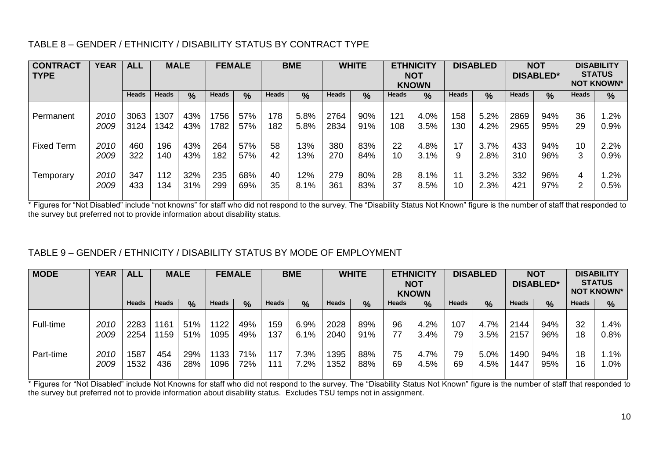#### TABLE 8 – GENDER / ETHNICITY / DISABILITY STATUS BY CONTRACT TYPE

| <b>CONTRACT</b><br><b>TYPE</b> | <b>YEAR</b>  | <b>ALL</b>   |              | <b>MALE</b>   |              | <b>FEMALE</b> |              | <b>BME</b>    | <b>WHITE</b><br><b>ETHNICITY</b><br><b>NOT</b><br><b>KNOWN</b> |               |              |               | <b>DISABLED</b> |               | <b>NOT</b><br><b>DISABLED*</b> | <b>DISABILITY</b><br><b>STATUS</b><br><b>NOT KNOWN*</b> |          |                |
|--------------------------------|--------------|--------------|--------------|---------------|--------------|---------------|--------------|---------------|----------------------------------------------------------------|---------------|--------------|---------------|-----------------|---------------|--------------------------------|---------------------------------------------------------|----------|----------------|
|                                |              | <b>Heads</b> | <b>Heads</b> | $\frac{0}{0}$ | <b>Heads</b> | $\frac{0}{0}$ | <b>Heads</b> | $\frac{0}{0}$ | <b>Heads</b>                                                   | $\frac{9}{6}$ | <b>Heads</b> | $\frac{0}{0}$ | <b>Heads</b>    | $\frac{9}{6}$ | <b>Heads</b>                   | $\frac{0}{0}$                                           | Heads    | $\%$           |
| Permanent                      | 2010<br>2009 | 3063<br>3124 | 1307<br>1342 | 43%<br>43%    | 1756<br>1782 | 57%<br>57%    | 178<br>182   | 5.8%<br>5.8%  | 2764<br>2834                                                   | 90%<br>91%    | 121<br>108   | 4.0%<br>3.5%  | 158<br>130      | 5.2%<br>4.2%  | 2869<br>2965                   | 94%<br>95%                                              | 36<br>29 | .2%<br>0.9%    |
| <b>Fixed Term</b>              | 2010<br>2009 | 460<br>322   | 196<br>140   | 43%<br>43%    | 264<br>182   | 57%<br>57%    | 58<br>42     | 13%<br>13%    | 380<br>270                                                     | 83%<br>84%    | 22<br>10     | 4.8%<br>3.1%  | 17<br>9         | 3.7%<br>2.8%  | 433<br>310                     | 94%<br>96%                                              | 10       | 2.2%<br>0.9%   |
| Temporary                      | 2010<br>2009 | 347<br>433   | 112<br>134   | 32%<br>31%    | 235<br>299   | 68%<br>69%    | 40<br>35     | 12%<br>8.1%   | 279<br>361                                                     | 80%<br>83%    | 28<br>37     | 8.1%<br>8.5%  | 11<br>10        | 3.2%<br>2.3%  | 332<br>421                     | 96%<br>97%                                              | 4        | $.2\%$<br>0.5% |

\* Figures for "Not Disabled" include "not knowns" for staff who did not respond to the survey. The "Disability Status Not Known" figure is the number of staff that responded to the survey but preferred not to provide information about disability status.

#### TABLE 9 – GENDER / ETHNICITY / DISABILITY STATUS BY MODE OF EMPLOYMENT

| <b>MODE</b> | <b>YEAR</b> | <b>ALL</b>   | <b>MALE</b>  |     | <b>BME</b><br><b>FEMALE</b> |     |              | <b>WHITE</b>  | <b>ETHNICITY</b><br><b>NOT</b><br><b>KNOWN</b> |     |              | <b>DISABLED</b> |              | <b>NOT</b><br><b>DISABLED*</b> |              | <b>DISABILITY</b><br><b>STATUS</b><br><b>NOT KNOWN*</b> |              |               |
|-------------|-------------|--------------|--------------|-----|-----------------------------|-----|--------------|---------------|------------------------------------------------|-----|--------------|-----------------|--------------|--------------------------------|--------------|---------------------------------------------------------|--------------|---------------|
|             |             | <b>Heads</b> | <b>Heads</b> | %   | <b>Heads</b>                | %   | <b>Heads</b> | $\frac{9}{6}$ | <b>Heads</b>                                   | %   | <b>Heads</b> | %               | <b>Heads</b> | %                              | <b>Heads</b> | $\frac{0}{0}$                                           | <b>Heads</b> | $\frac{0}{0}$ |
| Full-time   | 2010        | 2283         | 1161         | 51% | 1122                        | 49% | 159          | 6.9%          | 2028                                           | 89% | 96           | 4.2%            | 107          | 4.7%                           | 2144         | 94%                                                     | 32           | $.4\%$        |
|             | 2009        | 2254         | 1159         | 51% | 1095                        | 49% | 137          | 6.1%          | 2040                                           | 91% | 77           | 3.4%            | 79           | 3.5%                           | 2157         | 96%                                                     | 18           | $0.8\%$       |
| Part-time   | 2010        | 1587         | 454          | 29% | 133                         | 71% | 117          | 7.3%          | 395                                            | 88% | 75           | 4.7%            | 79           | 5.0%                           | 1490         | 94%                                                     | 18           | 1%            |
|             | 2009        | 1532         | 436          | 28% | 1096                        | 72% | 111          | 7.2%          | 1352                                           | 88% | 69           | 4.5%            | 69           | 4.5%                           | 1447         | 95%                                                     | 16           | .0%           |

\* Figures for "Not Disabled" include Not Knowns for staff who did not respond to the survey. The "Disability Status Not Known" figure is the number of staff that responded to the survey but preferred not to provide information about disability status. Excludes TSU temps not in assignment.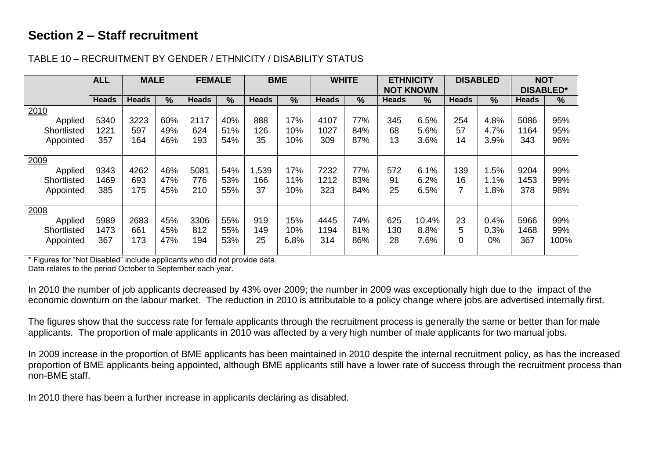# **Section 2 – Staff recruitment**

|             | <b>ALL</b>   | <b>MALE</b>  |               | <b>FEMALE</b> |               | <b>BME</b>   |      | <b>WHITE</b> |               | <b>ETHNICITY</b> |                  |              | <b>DISABLED</b> | <b>NOT</b>       |               |
|-------------|--------------|--------------|---------------|---------------|---------------|--------------|------|--------------|---------------|------------------|------------------|--------------|-----------------|------------------|---------------|
|             |              |              |               |               |               |              |      |              |               |                  | <b>NOT KNOWN</b> |              |                 | <b>DISABLED*</b> |               |
|             | <b>Heads</b> | <b>Heads</b> | $\frac{9}{6}$ | <b>Heads</b>  | $\frac{9}{6}$ | <b>Heads</b> | $\%$ | <b>Heads</b> | $\frac{0}{0}$ | <b>Heads</b>     | $\frac{0}{0}$    | <b>Heads</b> | %               | <b>Heads</b>     | $\frac{0}{0}$ |
| 2010        |              |              |               |               |               |              |      |              |               |                  |                  |              |                 |                  |               |
| Applied     | 5340         | 3223         | 60%           | 2117          | 40%           | 888          | 17%  | 4107         | 77%           | 345              | 6.5%             | 254          | 4.8%            | 5086             | 95%           |
| Shortlisted | 1221         | 597          | 49%           | 624           | 51%           | 126          | 10%  | 1027         | 84%           | 68               | 5.6%             | 57           | 4.7%            | 1164             | 95%           |
| Appointed   | 357          | 164          | 46%           | 193           | 54%           | 35           | 10%  | 309          | 87%           | 13               | 3.6%             | 14           | 3.9%            | 343              | 96%           |
|             |              |              |               |               |               |              |      |              |               |                  |                  |              |                 |                  |               |
| 2009        |              |              |               |               |               |              |      |              |               |                  |                  |              |                 |                  |               |
| Applied     | 9343         | 4262         | 46%           | 5081          | 54%           | 1,539        | 17%  | 7232         | 77%           | 572              | 6.1%             | 139          | .5%             | 9204             | 99%           |
| Shortlisted | 1469         | 693          | 47%           | 776           | 53%           | 166          | 11%  | 1212         | 83%           | 91               | 6.2%             | 16           | 1.1%            | 1453             | 99%           |
| Appointed   | 385          | 175          | 45%           | 210           | 55%           | 37           | 10%  | 323          | 84%           | 25               | 6.5%             |              | 1.8%            | 378              | 98%           |
|             |              |              |               |               |               |              |      |              |               |                  |                  |              |                 |                  |               |
| 2008        |              |              |               |               |               |              |      |              |               |                  |                  |              |                 |                  |               |
| Applied     | 5989         | 2683         | 45%           | 3306          | 55%           | 919          | 15%  | 4445         | 74%           | 625              | 10.4%            | 23           | 0.4%            | 5966             | 99%           |
| Shortlisted | 1473         | 661          | 45%           | 812           | 55%           | 149          | 10%  | 1194         | 81%           | 130              | 8.8%             | 5            | 0.3%            | 1468             | 99%           |
| Appointed   | 367          | 173          | 47%           | 194           | 53%           | 25           | 6.8% | 314          | 86%           | 28               | 7.6%             |              | 0%              | 367              | 100%          |
|             |              |              |               |               |               |              |      |              |               |                  |                  |              |                 |                  |               |

#### TABLE 10 – RECRUITMENT BY GENDER / ETHNICITY / DISABILITY STATUS

\* Figures for "Not Disabled" include applicants who did not provide data.

Data relates to the period October to September each year.

In 2010 the number of job applicants decreased by 43% over 2009; the number in 2009 was exceptionally high due to the impact of the economic downturn on the labour market. The reduction in 2010 is attributable to a policy change where jobs are advertised internally first.

The figures show that the success rate for female applicants through the recruitment process is generally the same or better than for male applicants. The proportion of male applicants in 2010 was affected by a very high number of male applicants for two manual jobs.

In 2009 increase in the proportion of BME applicants has been maintained in 2010 despite the internal recruitment policy, as has the increased proportion of BME applicants being appointed, although BME applicants still have a lower rate of success through the recruitment process than non-BME staff.

In 2010 there has been a further increase in applicants declaring as disabled.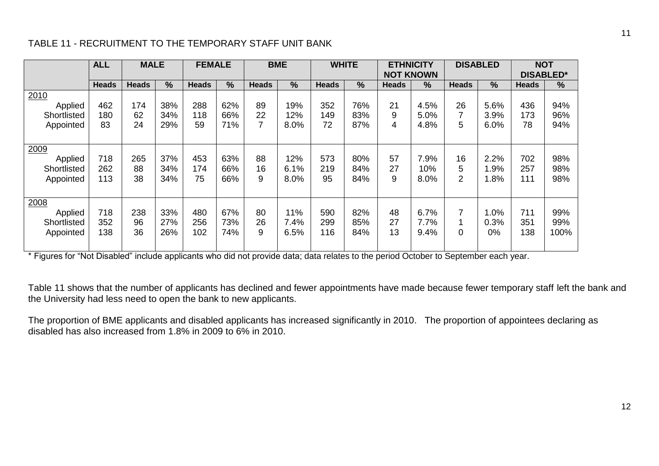#### TABLE 11 - RECRUITMENT TO THE TEMPORARY STAFF UNIT BANK

|                                             | <b>ALL</b>        | <b>MALE</b>     |                   | <b>FEMALE</b>     |                   |               | <b>BME</b>          | <b>WHITE</b>      |                   | <b>ETHNICITY</b><br><b>NOT KNOWN</b> |                      |                           | <b>DISABLED</b>       |                   | <b>NOT</b><br><b>DISABLED*</b> |
|---------------------------------------------|-------------------|-----------------|-------------------|-------------------|-------------------|---------------|---------------------|-------------------|-------------------|--------------------------------------|----------------------|---------------------------|-----------------------|-------------------|--------------------------------|
|                                             | <b>Heads</b>      | <b>Heads</b>    | $\frac{0}{0}$     | <b>Heads</b>      | %                 | <b>Heads</b>  | $\%$                | <b>Heads</b>      | $\%$              | <b>Heads</b>                         | $\%$                 | <b>Heads</b>              | $\frac{9}{6}$         | <b>Heads</b>      | $\frac{9}{6}$                  |
| 2010<br>Applied<br>Shortlisted<br>Appointed | 462<br>180<br>83  | 174<br>62<br>24 | 38%<br>34%<br>29% | 288<br>118<br>59  | 62%<br>66%<br>71% | 89<br>22<br>7 | 19%<br>12%<br>8.0%  | 352<br>149<br>72  | 76%<br>83%<br>87% | 21<br>9<br>4                         | 4.5%<br>5.0%<br>4.8% | 26<br>5                   | 5.6%<br>3.9%<br>6.0%  | 436<br>173<br>78  | 94%<br>96%<br>94%              |
| 2009<br>Applied<br>Shortlisted<br>Appointed | 718<br>262<br>113 | 265<br>88<br>38 | 37%<br>34%<br>34% | 453<br>174<br>75  | 63%<br>66%<br>66% | 88<br>16<br>9 | 12%<br>6.1%<br>8.0% | 573<br>219<br>95  | 80%<br>84%<br>84% | 57<br>27<br>9                        | 7.9%<br>10%<br>8.0%  | 16<br>5<br>$\overline{2}$ | 2.2%<br>.9%<br>$.8\%$ | 702<br>257<br>111 | 98%<br>98%<br>98%              |
| 2008<br>Applied<br>Shortlisted<br>Appointed | 718<br>352<br>138 | 238<br>96<br>36 | 33%<br>27%<br>26% | 480<br>256<br>102 | 67%<br>73%<br>74% | 80<br>26<br>9 | 11%<br>7.4%<br>6.5% | 590<br>299<br>116 | 82%<br>85%<br>84% | 48<br>27<br>13                       | 6.7%<br>7.7%<br>9.4% | 7<br>0                    | .0%<br>0.3%<br>0%     | 711<br>351<br>138 | 99%<br>99%<br>100%             |

\* Figures for "Not Disabled" include applicants who did not provide data; data relates to the period October to September each year.

Table 11 shows that the number of applicants has declined and fewer appointments have made because fewer temporary staff left the bank and the University had less need to open the bank to new applicants.

The proportion of BME applicants and disabled applicants has increased significantly in 2010. The proportion of appointees declaring as disabled has also increased from 1.8% in 2009 to 6% in 2010.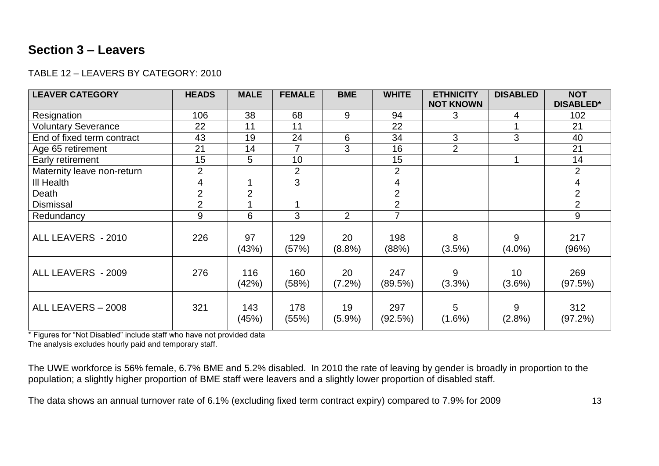# **Section 3 – Leavers**

#### TABLE 12 – LEAVERS BY CATEGORY: 2010

| <b>LEAVER CATEGORY</b>     | <b>HEADS</b>   | <b>MALE</b>    | <b>FEMALE</b>  | <b>BME</b>      | <b>WHITE</b>   | <b>ETHNICITY</b><br><b>NOT KNOWN</b> | <b>DISABLED</b> | <b>NOT</b><br><b>DISABLED*</b> |
|----------------------------|----------------|----------------|----------------|-----------------|----------------|--------------------------------------|-----------------|--------------------------------|
| Resignation                | 106            | 38             | 68             | 9               | 94             | 3                                    | 4               | 102                            |
| <b>Voluntary Severance</b> | 22             | 11             | 11             |                 | 22             |                                      |                 | 21                             |
| End of fixed term contract | 43             | 19             | 24             | 6               | 34             | 3                                    | 3               | 40                             |
| Age 65 retirement          | 21             | 14             | 7              | 3               | 16             | $\overline{2}$                       |                 | 21                             |
| Early retirement           | 15             | 5              | 10             |                 | 15             |                                      |                 | 14                             |
| Maternity leave non-return | $\overline{2}$ |                | $\overline{2}$ |                 | $\overline{2}$ |                                      |                 | $\overline{2}$                 |
| <b>III Health</b>          | 4              |                | 3              |                 | 4              |                                      |                 | 4                              |
| Death                      | $\overline{2}$ | $\overline{2}$ |                |                 | $\overline{2}$ |                                      |                 | $\overline{2}$                 |
| <b>Dismissal</b>           | $\overline{2}$ |                |                |                 | $\overline{2}$ |                                      |                 | $\overline{2}$                 |
| Redundancy                 | 9              | 6              | 3              | 2               | $\overline{7}$ |                                      |                 | 9                              |
| ALL LEAVERS - 2010         | 226            | 97<br>(43%)    | 129<br>(57%)   | 20<br>$(8.8\%)$ | 198<br>(88%)   | 8<br>(3.5%)                          | 9<br>$(4.0\%)$  | 217<br>(96%)                   |
| ALL LEAVERS - 2009         | 276            | 116<br>(42%)   | 160<br>(58%)   | 20<br>(7.2%)    | 247<br>(89.5%) | 9<br>$(3.3\%)$                       | 10<br>$(3.6\%)$ | 269<br>(97.5%)                 |
| ALL LEAVERS - 2008         | 321            | 143<br>(45%)   | 178<br>(55%)   | 19<br>$(5.9\%)$ | 297<br>(92.5%) | 5<br>$(1.6\%)$                       | 9<br>(2.8%)     | 312<br>(97.2%)                 |

\* Figures for "Not Disabled" include staff who have not provided data

The analysis excludes hourly paid and temporary staff.

The UWE workforce is 56% female, 6.7% BME and 5.2% disabled. In 2010 the rate of leaving by gender is broadly in proportion to the population; a slightly higher proportion of BME staff were leavers and a slightly lower proportion of disabled staff.

The data shows an annual turnover rate of 6.1% (excluding fixed term contract expiry) compared to 7.9% for 2009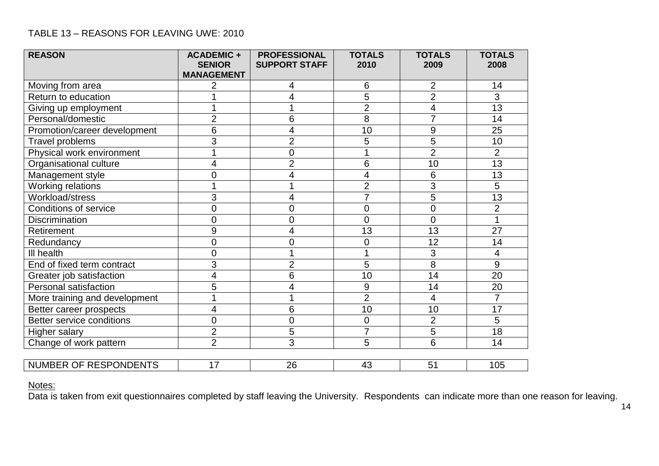#### TABLE 13 – REASONS FOR LEAVING UWE: 2010

| <b>REASON</b>                 | <b>ACADEMIC +</b><br><b>SENIOR</b><br><b>MANAGEMENT</b> | <b>PROFESSIONAL</b><br><b>SUPPORT STAFF</b> | <b>TOTALS</b><br>2010 | <b>TOTALS</b><br>2009 | <b>TOTALS</b><br>2008 |
|-------------------------------|---------------------------------------------------------|---------------------------------------------|-----------------------|-----------------------|-----------------------|
| Moving from area              | 2                                                       | 4                                           | 6                     | $\overline{2}$        | 14                    |
| Return to education           |                                                         | 4                                           | 5                     | $\overline{2}$        | 3                     |
| Giving up employment          |                                                         |                                             | $\overline{2}$        | 4                     | $\overline{13}$       |
| Personal/domestic             | $\overline{2}$                                          | 6                                           | 8                     | $\overline{7}$        | 14                    |
| Promotion/career development  | 6                                                       | 4                                           | 10                    | 9                     | 25                    |
| Travel problems               | 3                                                       | $\overline{2}$                              | 5                     | 5                     | 10                    |
| Physical work environment     | 1                                                       | $\overline{0}$                              |                       | $\overline{2}$        | $\overline{2}$        |
| Organisational culture        | 4                                                       | $\overline{2}$                              | 6                     | 10                    | $\overline{13}$       |
| Management style              | $\overline{0}$                                          | 4                                           | 4                     | 6                     | 13                    |
| Working relations             |                                                         |                                             | $\overline{2}$        | 3                     | 5                     |
| Workload/stress               | 3                                                       | 4                                           | $\overline{7}$        | 5                     | 13                    |
| <b>Conditions of service</b>  | $\boldsymbol{0}$                                        | $\overline{0}$                              | $\overline{0}$        | $\overline{0}$        | $\overline{2}$        |
| <b>Discrimination</b>         | $\mathbf 0$                                             | $\overline{0}$                              | $\overline{0}$        | $\overline{0}$        | 1                     |
| Retirement                    | 9                                                       | 4                                           | 13                    | 13                    | 27                    |
| Redundancy                    | $\overline{0}$                                          | $\overline{0}$                              | $\overline{0}$        | 12                    | 14                    |
| III health                    | $\overline{0}$                                          |                                             |                       | 3                     | 4                     |
| End of fixed term contract    | 3                                                       | $\overline{2}$                              | 5                     | 8                     | 9                     |
| Greater job satisfaction      | 4                                                       | 6                                           | 10                    | 14                    | 20                    |
| Personal satisfaction         | 5                                                       | 4                                           | $9\,$                 | 14                    | 20                    |
| More training and development |                                                         |                                             | $\overline{2}$        | 4                     | $\overline{7}$        |
| Better career prospects       | 4                                                       | 6                                           | 10                    | 10                    | 17                    |
| Better service conditions     | $\overline{0}$                                          | $\overline{0}$                              | $\overline{0}$        | $\overline{2}$        | 5                     |
| <b>Higher salary</b>          | $\overline{2}$                                          | 5                                           | $\overline{7}$        | 5                     | 18                    |
| Change of work pattern        | $\overline{2}$                                          | 3                                           | 5                     | 6                     | 14                    |
|                               |                                                         |                                             |                       |                       |                       |
| NUMBER OF RESPONDENTS         | 17                                                      | 26                                          | 43                    | 51                    | 105                   |

#### Notes:

Data is taken from exit questionnaires completed by staff leaving the University. Respondents can indicate more than one reason for leaving.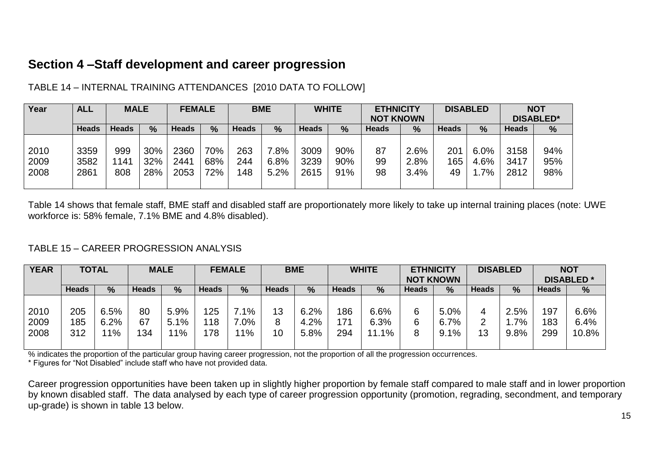# **Section 4 –Staff development and career progression**

| Year | <b>ALL</b>   | <b>MALE</b>  |     | <b>FEMALE</b> |     |              | <b>BME</b>    |       | <b>WHITE</b> | <b>ETHNICITY</b> |      |              | <b>DISABLED</b> |              | <b>NOT</b>       |
|------|--------------|--------------|-----|---------------|-----|--------------|---------------|-------|--------------|------------------|------|--------------|-----------------|--------------|------------------|
|      |              |              |     |               |     |              |               |       |              | <b>NOT KNOWN</b> |      |              |                 |              | <b>DISABLED*</b> |
|      | <b>Heads</b> | <b>Heads</b> | %   | Heads         | %   | <b>Heads</b> | $\frac{9}{6}$ | Heads | $\%$         | <b>Heads</b>     | %    | <b>Heads</b> | $\%$            | <b>Heads</b> | $\%$             |
|      |              |              |     |               |     |              |               |       |              |                  |      |              |                 |              |                  |
| 2010 | 3359         | 999          | 30% | 2360          | 70% | 263          | $.8\%$        | 3009  | 90%          | 87               | 2.6% | 201          | 6.0%            | 3158         | 94%              |
| 2009 | 3582         | 141          | 32% | 2441          | 68% | 244          | 6.8%          | 3239  | 90%          | 99               | 2.8% | 165          | 4.6%            | 3417         | 95%              |
| 2008 | 2861         | 808          | 28% | 2053          | 72% | 148          | 5.2%          | 2615  | 91%          | 98               | 3.4% | 49           | 7%              | 2812         | 98%              |
|      |              |              |     |               |     |              |               |       |              |                  |      |              |                 |              |                  |

#### TABLE 14 – INTERNAL TRAINING ATTENDANCES [2010 DATA TO FOLLOW]

Table 14 shows that female staff, BME staff and disabled staff are proportionately more likely to take up internal training places (note: UWE workforce is: 58% female, 7.1% BME and 4.8% disabled).

#### TABLE 15 – CAREER PROGRESSION ANALYSIS

| <b>YEAR</b> |              | <b>TOTAL</b> |              | <b>MALE</b> |              | <b>FEMALE</b> | <b>BME</b>   |               |       | <b>WHITE</b> | <b>ETHNICITY</b> |                  |              | <b>DISABLED</b> |              | <b>NOT</b>       |
|-------------|--------------|--------------|--------------|-------------|--------------|---------------|--------------|---------------|-------|--------------|------------------|------------------|--------------|-----------------|--------------|------------------|
|             |              |              |              |             |              |               |              |               |       |              |                  | <b>NOT KNOWN</b> |              |                 |              | <b>DISABLED*</b> |
|             | <b>Heads</b> | $\%$         | <b>Heads</b> | $\%$        | <b>Heads</b> | $\frac{9}{6}$ | <b>Heads</b> | $\frac{0}{0}$ | Heads | %            | <b>Heads</b>     | $\frac{9}{6}$    | <b>Heads</b> | $\%$            | <b>Heads</b> | %                |
|             |              |              |              |             |              |               |              |               |       |              |                  |                  |              |                 |              |                  |
| 2010        | 205          | 6.5%         | 80           | 5.9%        | 125          | $7.1\%$       | 13           | 6.2%          | 86    | 6.6%         | 6                | 5.0%             |              | 2.5%            | 197          | 6.6%             |
| 2009        | 185          | 6.2%         | 67           | 5.1%        | 118          | 7.0%          | 8            | 4.2%          | 71    | 6.3%         | 6                | 6.7%             |              | 7%              | 183          | 6.4%             |
| 2008        | 312          | 11%          | 134          | $1\%$       | 178          | $1\%$         | 10           | 5.8%          | 294   | 11.1%        | 8                | 9.1%             | 13           | 9.8%            | 299          | 10.8%            |
|             |              |              |              |             |              |               |              |               |       |              |                  |                  |              |                 |              |                  |

% indicates the proportion of the particular group having career progression, not the proportion of all the progression occurrences.

\* Figures for "Not Disabled" include staff who have not provided data.

Career progression opportunities have been taken up in slightly higher proportion by female staff compared to male staff and in lower proportion by known disabled staff. The data analysed by each type of career progression opportunity (promotion, regrading, secondment, and temporary up-grade) is shown in table 13 below.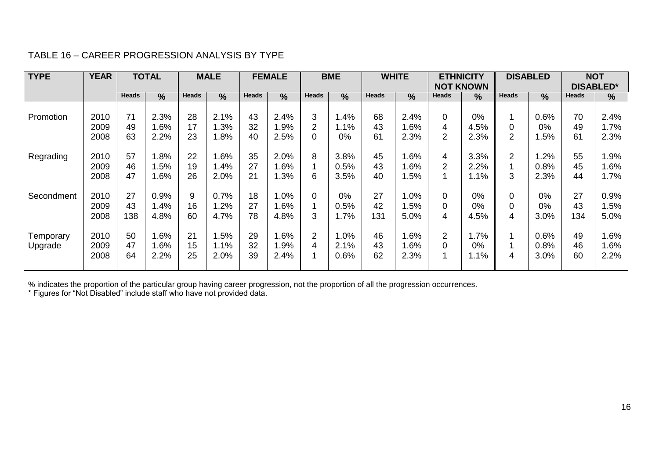#### TABLE 16 – CAREER PROGRESSION ANALYSIS BY TYPE

| <b>TYPE</b> | <b>YEAR</b> |              | <b>TOTAL</b>  |              | <b>MALE</b> |              | <b>FEMALE</b> |                | <b>BME</b> |              | <b>WHITE</b> |                | <b>ETHNICITY</b><br><b>NOT KNOWN</b> |                | <b>DISABLED</b> |              | <b>NOT</b><br><b>DISABLED*</b> |
|-------------|-------------|--------------|---------------|--------------|-------------|--------------|---------------|----------------|------------|--------------|--------------|----------------|--------------------------------------|----------------|-----------------|--------------|--------------------------------|
|             |             | <b>Heads</b> | $\frac{9}{6}$ | <b>Heads</b> | $\%$        | <b>Heads</b> | $\%$          | <b>Heads</b>   | %          | <b>Heads</b> | $\%$         | <b>Heads</b>   | %                                    | <b>Heads</b>   | $\frac{9}{6}$   | <b>Heads</b> | $\%$                           |
|             |             |              |               |              |             |              |               |                |            |              |              |                |                                      |                |                 |              |                                |
| Promotion   | 2010        | 71           | 2.3%          | 28           | 2.1%        | 43           | 2.4%          | 3              | .4%        | 68           | 2.4%         | 0              | $0\%$                                | 4              | 0.6%            | 70           | 2.4%                           |
|             | 2009        | 49           | .6%           | 17           | 1.3%        | 32           | $.9\%$        | $\overline{2}$ | 1.1%       | 43           | 1.6%         | 4              | 4.5%                                 | 0              | 0%              | 49           | 1.7%                           |
|             | 2008        | 63           | 2.2%          | 23           | .8%         | 40           | 2.5%          | 0              | $0\%$      | 61           | 2.3%         | $\overline{2}$ | 2.3%                                 | $\overline{2}$ | .5%             | 61           | 2.3%                           |
|             |             |              |               |              |             |              |               |                |            |              |              |                |                                      |                |                 |              |                                |
| Regrading   | 2010        | 57           | $.8\%$        | 22           | .6%         | 35           | 2.0%          | 8              | 3.8%       | 45           | $1.6\%$      | 4              | 3.3%                                 | $\overline{2}$ | $.2\%$          | 55           | 1.9%                           |
|             | 2009        | 46           | .5%           | 19           | 1.4%        | 27           | .6%           |                | 0.5%       | 43           | 1.6%         | 2              | 2.2%                                 |                | 0.8%            | 45           | 1.6%                           |
|             | 2008        | 47           | .6%           | 26           | 2.0%        | 21           | $.3\%$        | 6              | 3.5%       | 40           | .5%          | 4              | 1.1%                                 | 3              | 2.3%            | 44           | 1.7%                           |
|             |             |              |               |              |             |              |               |                |            |              |              |                |                                      |                |                 |              |                                |
| Secondment  | 2010        | 27           | 0.9%          | 9            | 0.7%        | 18           | $.0\%$        | 0              | $0\%$      | 27           | 1.0%         | 0              | 0%                                   | 0              | 0%              | 27           | 0.9%                           |
|             | 2009        | 43           | .4%           | 16           | .2%         | 27           | .6%           |                | 0.5%       | 42           | .5%          | 0              | 0%                                   | 0              | 0%              | 43           | 1.5%                           |
|             | 2008        | 138          | 4.8%          | 60           | 4.7%        | 78           | 4.8%          | 3              | 1.7%       | 131          | 5.0%         | 4              | 4.5%                                 | 4              | 3.0%            | 134          | 5.0%                           |
|             |             |              |               |              |             |              |               |                |            |              |              |                |                                      |                |                 |              |                                |
| Temporary   | 2010        | 50           | $.6\%$        | 21           | .5%         | 29           | .6%           | $\overline{2}$ | $.0\%$     | 46           | l.6%         | $\overline{2}$ | 1.7%                                 |                | 0.6%            | 49           | 1.6%                           |
| Upgrade     | 2009        | 47           | .6%           | 15           | 1.1%        | 32           | .9%           | 4              | 2.1%       | 43           | 1.6%         | 0              | $0\%$                                |                | 0.8%            | 46           | 1.6%                           |
|             | 2008        | 64           | 2.2%          | 25           | 2.0%        | 39           | 2.4%          |                | 0.6%       | 62           | 2.3%         |                | 1.1%                                 | 4              | 3.0%            | 60           | 2.2%                           |
|             |             |              |               |              |             |              |               |                |            |              |              |                |                                      |                |                 |              |                                |

% indicates the proportion of the particular group having career progression, not the proportion of all the progression occurrences.

\* Figures for "Not Disabled" include staff who have not provided data.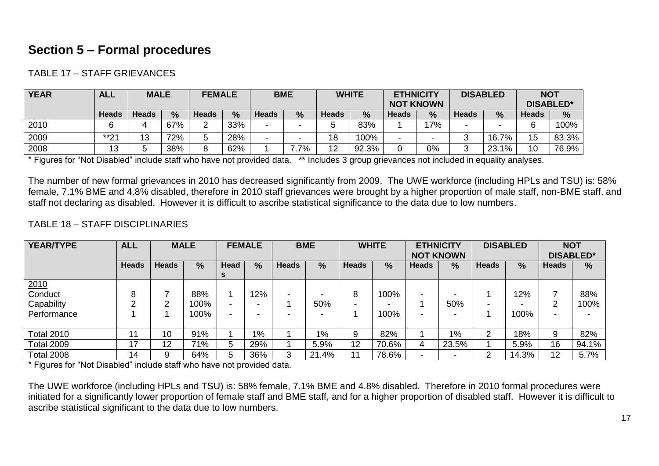# **Section 5 – Formal procedures**

TABLE 17 – STAFF GRIEVANCES

| <b>YEAR</b> | <b>ALL</b>   | <b>MALE</b> |      | <b>FEMALE</b> |               |                          | <b>BME</b> |              | <b>WHITE</b>  | <b>ETHNICITY</b><br><b>NOT KNOWN</b> |               |       | <b>DISABLED</b> |              | <b>NOT</b><br><b>DISABLED*</b> |
|-------------|--------------|-------------|------|---------------|---------------|--------------------------|------------|--------------|---------------|--------------------------------------|---------------|-------|-----------------|--------------|--------------------------------|
|             | <b>Heads</b> | Heads       | $\%$ | Heads         | $\frac{0}{0}$ | <b>Heads</b>             | %          | <b>Heads</b> | $\frac{0}{0}$ | <b>Heads</b>                         | $\frac{9}{6}$ | Heads | %               | <b>Heads</b> | %                              |
| 2010        |              |             | 67%  | ⌒<br>ے        | 33%           | $\sim$                   |            |              | 83%           |                                      | 17%           |       |                 | 6            | 100%                           |
| 2009        | $***04$      | 13          | 72%  | J             | 28%           | $\overline{\phantom{0}}$ |            | 18           | 100%          |                                      |               |       | $16.7\%$        | 15           | 83.3%                          |
| 2008        | 13           |             | 38%  | 8             | 62%           |                          | 7%         | 12           | 92.3%         |                                      | 0%            |       | 23.1%           | 10           | 76.9%                          |

\* Figures for "Not Disabled" include staff who have not provided data. \*\* Includes 3 group grievances not included in equality analyses.

The number of new formal grievances in 2010 has decreased significantly from 2009. The UWE workforce (including HPLs and TSU) is: 58% female, 7.1% BME and 4.8% disabled, therefore in 2010 staff grievances were brought by a higher proportion of male staff, non-BME staff, and staff not declaring as disabled. However it is difficult to ascribe statistical significance to the data due to low numbers.

#### TABLE 18 – STAFF DISCIPLINARIES

| <b>YEAR/TYPE</b>                                    | <b>ALL</b>   |              | <b>MALE</b>         |                  | <b>FEMALE</b> |              | <b>BME</b>                           |              | <b>WHITE</b>  |              | <b>ETHNICITY</b><br><b>NOT KNOWN</b> |              | <b>DISABLED</b> | <b>NOT</b>   | <b>DISABLED*</b> |
|-----------------------------------------------------|--------------|--------------|---------------------|------------------|---------------|--------------|--------------------------------------|--------------|---------------|--------------|--------------------------------------|--------------|-----------------|--------------|------------------|
|                                                     | <b>Heads</b> | <b>Heads</b> | $\frac{9}{6}$       | Head<br><b>S</b> | %             | <b>Heads</b> | $\frac{9}{6}$                        | <b>Heads</b> | $\frac{9}{6}$ | <b>Heads</b> | $\frac{9}{6}$                        | <b>Heads</b> | %               | <b>Heads</b> | $\%$             |
| $\frac{2010}{$ Conduct<br>Capability<br>Performance | 8<br>◠       | ⌒            | 88%<br>100%<br>100% | -<br>-           | 12%           |              | $\overline{\phantom{0}}$<br>50%<br>- | 8            | 100%<br>100%  |              | 50%<br>-                             |              | 12%<br>100%     | റ<br>-       | 88%<br>100%      |
| <b>Total 2010</b>                                   | 11           | 10           | 91%                 |                  | $1\%$         |              | $1\%$                                | 9            | 82%           |              | $1\%$                                | っ            | 18%             | 9            | 82%              |
| <b>Total 2009</b>                                   | 17           | 12           | 71%                 | 5                | 29%           |              | 5.9%                                 | 12           | 70.6%         | 4            | 23.5%                                |              | 5.9%            | 16           | 94.1%            |
| <b>Total 2008</b>                                   | 14           | 9            | 64%                 | 5                | 36%           | 3            | 21.4%                                | 11           | 78.6%         |              | $\overline{\phantom{0}}$             | ⌒            | 14.3%           | 12           | 5.7%             |

\* Figures for "Not Disabled" include staff who have not provided data.

The UWE workforce (including HPLs and TSU) is: 58% female, 7.1% BME and 4.8% disabled. Therefore in 2010 formal procedures were initiated for a significantly lower proportion of female staff and BME staff, and for a higher proportion of disabled staff. However it is difficult to ascribe statistical significant to the data due to low numbers.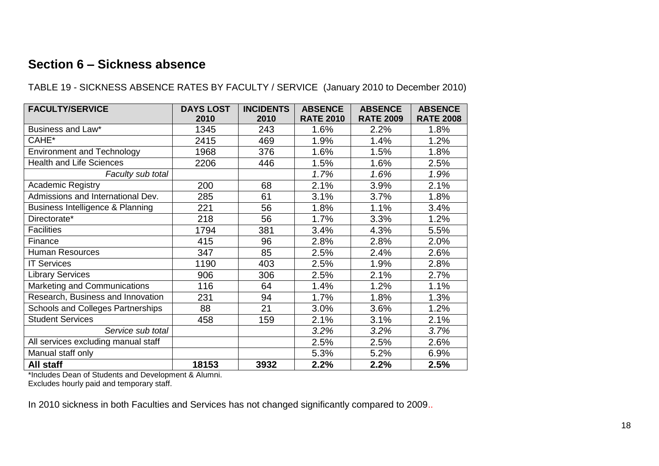# **Section 6 – Sickness absence**

| TABLE 19 - SICKNESS ABSENCE RATES BY FACULTY / SERVICE (January 2010 to December 2010) |  |
|----------------------------------------------------------------------------------------|--|
|                                                                                        |  |

| <b>FACULTY/SERVICE</b>              | <b>DAYS LOST</b> | <b>INCIDENTS</b> | <b>ABSENCE</b>   | <b>ABSENCE</b>   | <b>ABSENCE</b>   |
|-------------------------------------|------------------|------------------|------------------|------------------|------------------|
|                                     | 2010             | 2010             | <b>RATE 2010</b> | <b>RATE 2009</b> | <b>RATE 2008</b> |
| Business and Law*                   | 1345             | 243              | 1.6%             | 2.2%             | 1.8%             |
| CAHE*                               | 2415             | 469              | 1.9%             | 1.4%             | 1.2%             |
| <b>Environment and Technology</b>   | 1968             | 376              | 1.6%             | 1.5%             | 1.8%             |
| <b>Health and Life Sciences</b>     | 2206             | 446              | 1.5%             | 1.6%             | 2.5%             |
| Faculty sub total                   |                  |                  | 1.7%             | 1.6%             | 1.9%             |
| <b>Academic Registry</b>            | 200              | 68               | 2.1%             | 3.9%             | 2.1%             |
| Admissions and International Dev.   | 285              | 61               | 3.1%             | 3.7%             | 1.8%             |
| Business Intelligence & Planning    | 221              | 56               | 1.8%             | 1.1%             | 3.4%             |
| Directorate*                        | 218              | 56               | 1.7%             | 3.3%             | 1.2%             |
| <b>Facilities</b>                   | 1794             | 381              | 3.4%             | 4.3%             | 5.5%             |
| Finance                             | 415              | 96               | 2.8%             | 2.8%             | 2.0%             |
| <b>Human Resources</b>              | 347              | 85               | 2.5%             | 2.4%             | 2.6%             |
| <b>IT Services</b>                  | 1190             | 403              | 2.5%             | 1.9%             | 2.8%             |
| <b>Library Services</b>             | 906              | 306              | 2.5%             | 2.1%             | 2.7%             |
| Marketing and Communications        | 116              | 64               | 1.4%             | 1.2%             | 1.1%             |
| Research, Business and Innovation   | 231              | 94               | 1.7%             | 1.8%             | 1.3%             |
| Schools and Colleges Partnerships   | 88               | 21               | 3.0%             | 3.6%             | 1.2%             |
| <b>Student Services</b>             | 458              | 159              | 2.1%             | 3.1%             | 2.1%             |
| Service sub total                   |                  |                  | 3.2%             | 3.2%             | 3.7%             |
| All services excluding manual staff |                  |                  | 2.5%             | 2.5%             | 2.6%             |
| Manual staff only                   |                  |                  | 5.3%             | 5.2%             | 6.9%             |
| All staff                           | 18153            | 3932             | 2.2%             | 2.2%             | 2.5%             |

\*Includes Dean of Students and Development & Alumni.

Excludes hourly paid and temporary staff.

In 2010 sickness in both Faculties and Services has not changed significantly compared to 2009..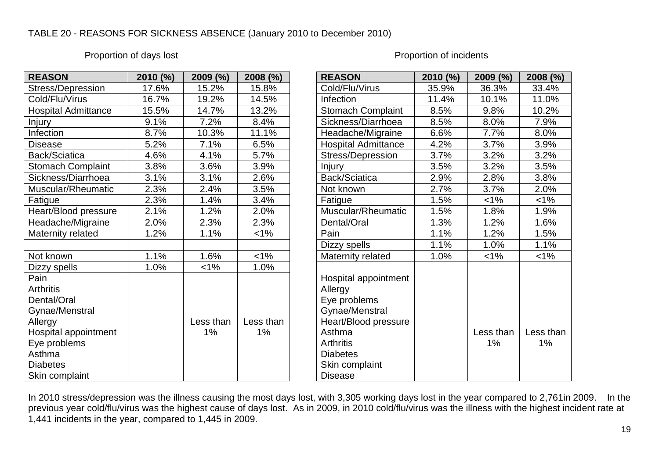#### TABLE 20 - REASONS FOR SICKNESS ABSENCE (January 2010 to December 2010)

#### Proportion of days lost **Proportion of days lost** Proportion of incidents

| <b>REASON</b>              | 2010 (%) | 2009 (%)  | $2008$ (%) | <b>REASON</b>              | 2010 (%) | $2009 (^{\circ\circ})$ | 2008 (%)  |
|----------------------------|----------|-----------|------------|----------------------------|----------|------------------------|-----------|
| Stress/Depression          | 17.6%    | 15.2%     | 15.8%      | Cold/Flu/Virus             | 35.9%    | 36.3%                  | 33.4%     |
| Cold/Flu/Virus             | 16.7%    | 19.2%     | 14.5%      | Infection                  | 11.4%    | 10.1%                  | 11.0%     |
| <b>Hospital Admittance</b> | 15.5%    | 14.7%     | 13.2%      | <b>Stomach Complaint</b>   | 8.5%     | 9.8%                   | 10.2%     |
| <b>Injury</b>              | 9.1%     | 7.2%      | 8.4%       | Sickness/Diarrhoea         | 8.5%     | 8.0%                   | 7.9%      |
| Infection                  | 8.7%     | 10.3%     | 11.1%      | Headache/Migraine          | 6.6%     | 7.7%                   | 8.0%      |
| <b>Disease</b>             | 5.2%     | 7.1%      | 6.5%       | <b>Hospital Admittance</b> | 4.2%     | 3.7%                   | 3.9%      |
| Back/Sciatica              | 4.6%     | 4.1%      | 5.7%       | Stress/Depression          | 3.7%     | 3.2%                   | 3.2%      |
| <b>Stomach Complaint</b>   | 3.8%     | 3.6%      | 3.9%       | <b>Injury</b>              | 3.5%     | 3.2%                   | 3.5%      |
| Sickness/Diarrhoea         | 3.1%     | 3.1%      | 2.6%       | Back/Sciatica              | 2.9%     | 2.8%                   | 3.8%      |
| Muscular/Rheumatic         | 2.3%     | 2.4%      | 3.5%       | Not known                  | 2.7%     | 3.7%                   | 2.0%      |
| Fatigue                    | 2.3%     | 1.4%      | 3.4%       | Fatigue                    | 1.5%     | $< 1\%$                | $< 1\%$   |
| Heart/Blood pressure       | 2.1%     | 1.2%      | 2.0%       | Muscular/Rheumatic         | 1.5%     | 1.8%                   | 1.9%      |
| Headache/Migraine          | 2.0%     | 2.3%      | 2.3%       | Dental/Oral                | 1.3%     | 1.2%                   | 1.6%      |
| Maternity related          | 1.2%     | 1.1%      | $< 1\%$    | Pain                       | 1.1%     | 1.2%                   | 1.5%      |
|                            |          |           |            | Dizzy spells               | 1.1%     | 1.0%                   | 1.1%      |
| Not known                  | 1.1%     | 1.6%      | $1\%$      | Maternity related          | 1.0%     | $< 1\%$                | $1\%$     |
| Dizzy spells               | 1.0%     | $< 1\%$   | 1.0%       |                            |          |                        |           |
| Pain                       |          |           |            | Hospital appointment       |          |                        |           |
| <b>Arthritis</b>           |          |           |            | Allergy                    |          |                        |           |
| Dental/Oral                |          |           |            | Eye problems               |          |                        |           |
| Gynae/Menstral             |          |           |            | Gynae/Menstral             |          |                        |           |
| Allergy                    |          | Less than | Less than  | Heart/Blood pressure       |          |                        |           |
| Hospital appointment       |          | 1%        | 1%         | Asthma                     |          | Less than              | Less thar |
| Eye problems               |          |           |            | <b>Arthritis</b>           |          | 1%                     | $1\%$     |
| Asthma                     |          |           |            | <b>Diabetes</b>            |          |                        |           |
| <b>Diabetes</b>            |          |           |            | Skin complaint             |          |                        |           |
| Skin complaint             |          |           |            | <b>Disease</b>             |          |                        |           |

| <b>REASON</b>                                                                                                                                                                  | 2010 (%) | 2009 (%)        | 2008 (%)        |
|--------------------------------------------------------------------------------------------------------------------------------------------------------------------------------|----------|-----------------|-----------------|
| Cold/Flu/Virus                                                                                                                                                                 | 35.9%    | 36.3%           | 33.4%           |
| Infection                                                                                                                                                                      | 11.4%    | 10.1%           | 11.0%           |
| <b>Stomach Complaint</b>                                                                                                                                                       | 8.5%     | 9.8%            | 10.2%           |
| Sickness/Diarrhoea                                                                                                                                                             | 8.5%     | 8.0%            | 7.9%            |
| Headache/Migraine                                                                                                                                                              | 6.6%     | 7.7%            | 8.0%            |
| <b>Hospital Admittance</b>                                                                                                                                                     | 4.2%     | 3.7%            | 3.9%            |
| <b>Stress/Depression</b>                                                                                                                                                       | 3.7%     | 3.2%            | 3.2%            |
| Injury                                                                                                                                                                         | 3.5%     | 3.2%            | 3.5%            |
| Back/Sciatica                                                                                                                                                                  | 2.9%     | 2.8%            | 3.8%            |
| Not known                                                                                                                                                                      | 2.7%     | 3.7%            | 2.0%            |
| Fatigue                                                                                                                                                                        | 1.5%     | $< 1\%$         | 1%              |
| Muscular/Rheumatic                                                                                                                                                             | 1.5%     | 1.8%            | 1.9%            |
| Dental/Oral                                                                                                                                                                    | 1.3%     | 1.2%            | 1.6%            |
| Pain                                                                                                                                                                           | 1.1%     | 1.2%            | 1.5%            |
| Dizzy spells                                                                                                                                                                   | 1.1%     | 1.0%            | 1.1%            |
| Maternity related                                                                                                                                                              | 1.0%     | $< 1\%$         | 1%              |
| Hospital appointment<br>Allergy<br>Eye problems<br>Gynae/Menstral<br>Heart/Blood pressure<br>Asthma<br><b>Arthritis</b><br><b>Diabetes</b><br>Skin complaint<br><b>Disease</b> |          | Less than<br>1% | Less than<br>1% |

In 2010 stress/depression was the illness causing the most days lost, with 3,305 working days lost in the year compared to 2,761in 2009. In the previous year cold/flu/virus was the highest cause of days lost. As in 2009, in 2010 cold/flu/virus was the illness with the highest incident rate at 1,441 incidents in the year, compared to 1,445 in 2009.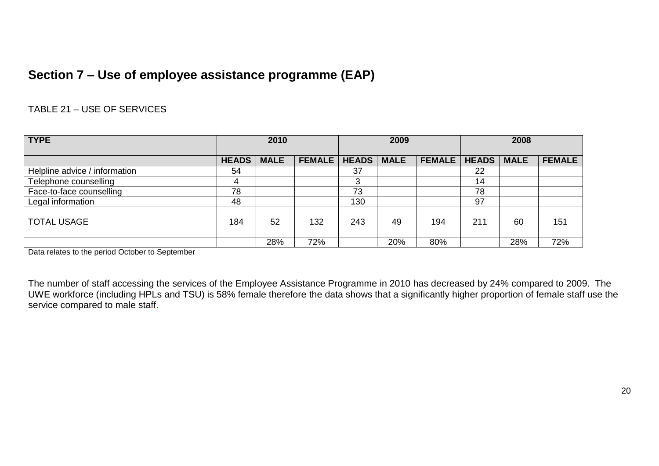# **Section 7 – Use of employee assistance programme (EAP)**

#### TABLE 21 – USE OF SERVICES

| <b>TYPE</b>                   | 2010         |             | 2009          |              | 2008        |               |              |             |               |
|-------------------------------|--------------|-------------|---------------|--------------|-------------|---------------|--------------|-------------|---------------|
|                               | <b>HEADS</b> | <b>MALE</b> | <b>FEMALE</b> | <b>HEADS</b> | <b>MALE</b> | <b>FEMALE</b> | <b>HEADS</b> | <b>MALE</b> | <b>FEMALE</b> |
| Helpline advice / information | 54           |             |               | 37           |             |               | 22           |             |               |
| Telephone counselling         | 4            |             |               | 3            |             |               | 14           |             |               |
| Face-to-face counselling      | 78           |             |               | 73           |             |               | 78           |             |               |
| Legal information             | 48           |             |               | 130          |             |               | 97           |             |               |
| <b>TOTAL USAGE</b>            | 184          | 52          | 132           | 243          | 49          | 194           | 211          | 60          | 151           |
|                               |              | 28%         | 72%           |              | 20%         | 80%           |              | 28%         | 72%           |

Data relates to the period October to September

The number of staff accessing the services of the Employee Assistance Programme in 2010 has decreased by 24% compared to 2009. The UWE workforce (including HPLs and TSU) is 58% female therefore the data shows that a significantly higher proportion of female staff use the service compared to male staff.